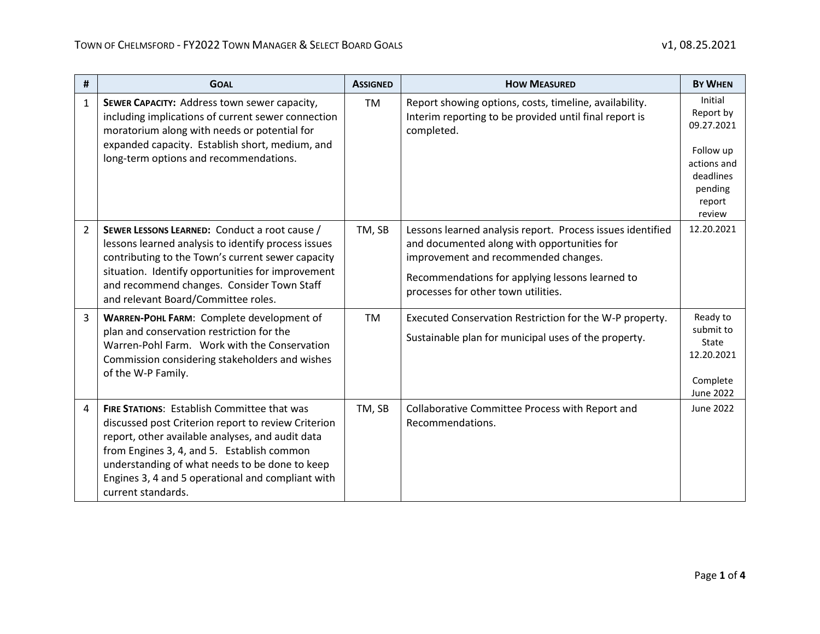| #              | <b>GOAL</b>                                                                                                                                                                                                                                                                                                                              | <b>ASSIGNED</b> | <b>HOW MEASURED</b>                                                                                                                                                                                                                         | <b>BY WHEN</b>                                                                                             |
|----------------|------------------------------------------------------------------------------------------------------------------------------------------------------------------------------------------------------------------------------------------------------------------------------------------------------------------------------------------|-----------------|---------------------------------------------------------------------------------------------------------------------------------------------------------------------------------------------------------------------------------------------|------------------------------------------------------------------------------------------------------------|
| $\mathbf{1}$   | SEWER CAPACITY: Address town sewer capacity,<br>including implications of current sewer connection<br>moratorium along with needs or potential for<br>expanded capacity. Establish short, medium, and<br>long-term options and recommendations.                                                                                          | <b>TM</b>       | Report showing options, costs, timeline, availability.<br>Interim reporting to be provided until final report is<br>completed.                                                                                                              | Initial<br>Report by<br>09.27.2021<br>Follow up<br>actions and<br>deadlines<br>pending<br>report<br>review |
| $\overline{2}$ | SEWER LESSONS LEARNED: Conduct a root cause /<br>lessons learned analysis to identify process issues<br>contributing to the Town's current sewer capacity<br>situation. Identify opportunities for improvement<br>and recommend changes. Consider Town Staff<br>and relevant Board/Committee roles.                                      | TM, SB          | Lessons learned analysis report. Process issues identified<br>and documented along with opportunities for<br>improvement and recommended changes.<br>Recommendations for applying lessons learned to<br>processes for other town utilities. | 12.20.2021                                                                                                 |
| 3              | WARREN-POHL FARM: Complete development of<br>plan and conservation restriction for the<br>Warren-Pohl Farm. Work with the Conservation<br>Commission considering stakeholders and wishes<br>of the W-P Family.                                                                                                                           | <b>TM</b>       | Executed Conservation Restriction for the W-P property.<br>Sustainable plan for municipal uses of the property.                                                                                                                             | Ready to<br>submit to<br>State<br>12.20.2021<br>Complete<br>June 2022                                      |
| 4              | <b>FIRE STATIONS: Establish Committee that was</b><br>discussed post Criterion report to review Criterion<br>report, other available analyses, and audit data<br>from Engines 3, 4, and 5. Establish common<br>understanding of what needs to be done to keep<br>Engines 3, 4 and 5 operational and compliant with<br>current standards. | TM, SB          | Collaborative Committee Process with Report and<br>Recommendations.                                                                                                                                                                         | June 2022                                                                                                  |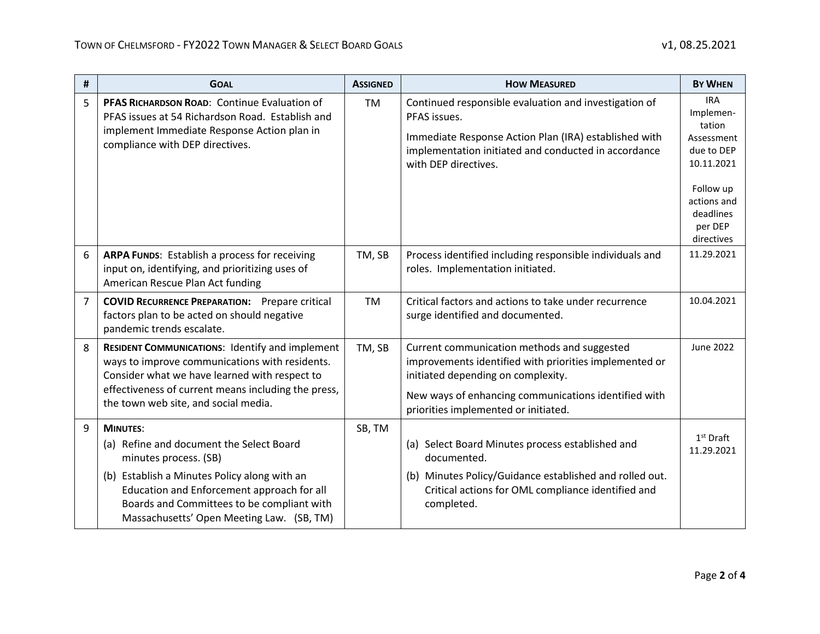| $\pmb{\sharp}$ | <b>GOAL</b>                                                                                                                                                                                                                                                                   | <b>ASSIGNED</b> | <b>HOW MEASURED</b>                                                                                                                                                                                                                         | <b>BY WHEN</b>                                                                                                                                |
|----------------|-------------------------------------------------------------------------------------------------------------------------------------------------------------------------------------------------------------------------------------------------------------------------------|-----------------|---------------------------------------------------------------------------------------------------------------------------------------------------------------------------------------------------------------------------------------------|-----------------------------------------------------------------------------------------------------------------------------------------------|
| 5              | PFAS RICHARDSON ROAD: Continue Evaluation of<br>PFAS issues at 54 Richardson Road. Establish and<br>implement Immediate Response Action plan in<br>compliance with DEP directives.                                                                                            | <b>TM</b>       | Continued responsible evaluation and investigation of<br>PFAS issues.<br>Immediate Response Action Plan (IRA) established with<br>implementation initiated and conducted in accordance<br>with DEP directives.                              | <b>IRA</b><br>Implemen-<br>tation<br>Assessment<br>due to DEP<br>10.11.2021<br>Follow up<br>actions and<br>deadlines<br>per DEP<br>directives |
| 6              | <b>ARPA FUNDS:</b> Establish a process for receiving<br>input on, identifying, and prioritizing uses of<br>American Rescue Plan Act funding                                                                                                                                   | TM, SB          | Process identified including responsible individuals and<br>roles. Implementation initiated.                                                                                                                                                | 11.29.2021                                                                                                                                    |
| 7              | <b>COVID RECURRENCE PREPARATION:</b> Prepare critical<br>factors plan to be acted on should negative<br>pandemic trends escalate.                                                                                                                                             | <b>TM</b>       | Critical factors and actions to take under recurrence<br>surge identified and documented.                                                                                                                                                   | 10.04.2021                                                                                                                                    |
| 8              | <b>RESIDENT COMMUNICATIONS: Identify and implement</b><br>ways to improve communications with residents.<br>Consider what we have learned with respect to<br>effectiveness of current means including the press,<br>the town web site, and social media.                      | TM, SB          | Current communication methods and suggested<br>improvements identified with priorities implemented or<br>initiated depending on complexity.<br>New ways of enhancing communications identified with<br>priorities implemented or initiated. | <b>June 2022</b>                                                                                                                              |
| 9              | <b>MINUTES:</b><br>(a) Refine and document the Select Board<br>minutes process. (SB)<br>(b) Establish a Minutes Policy along with an<br>Education and Enforcement approach for all<br>Boards and Committees to be compliant with<br>Massachusetts' Open Meeting Law. (SB, TM) | SB, TM          | (a) Select Board Minutes process established and<br>documented.<br>(b) Minutes Policy/Guidance established and rolled out.<br>Critical actions for OML compliance identified and<br>completed.                                              | $1st$ Draft<br>11.29.2021                                                                                                                     |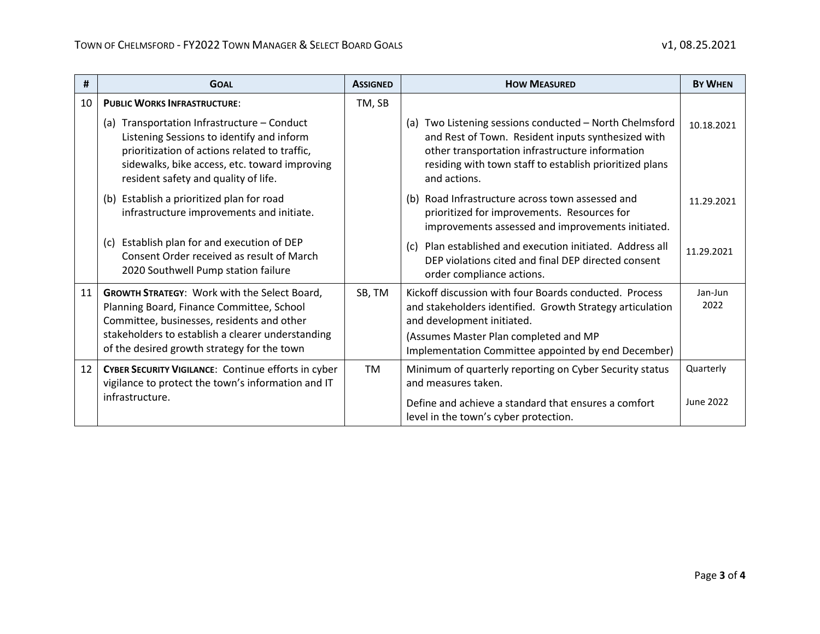| #               | <b>GOAL</b>                                                                                                                                                                                                                                        | <b>ASSIGNED</b> | <b>HOW MEASURED</b>                                                                                                                                                                                                                               | <b>BY WHEN</b>                |
|-----------------|----------------------------------------------------------------------------------------------------------------------------------------------------------------------------------------------------------------------------------------------------|-----------------|---------------------------------------------------------------------------------------------------------------------------------------------------------------------------------------------------------------------------------------------------|-------------------------------|
| 10              | <b>PUBLIC WORKS INFRASTRUCTURE:</b>                                                                                                                                                                                                                | TM, SB          |                                                                                                                                                                                                                                                   |                               |
|                 | (a) Transportation Infrastructure - Conduct<br>Listening Sessions to identify and inform<br>prioritization of actions related to traffic,<br>sidewalks, bike access, etc. toward improving<br>resident safety and quality of life.                 |                 | (a) Two Listening sessions conducted - North Chelmsford<br>and Rest of Town. Resident inputs synthesized with<br>other transportation infrastructure information<br>residing with town staff to establish prioritized plans<br>and actions.       | 10.18.2021                    |
|                 | (b) Establish a prioritized plan for road<br>infrastructure improvements and initiate.                                                                                                                                                             |                 | (b) Road Infrastructure across town assessed and<br>prioritized for improvements. Resources for<br>improvements assessed and improvements initiated.                                                                                              | 11.29.2021                    |
|                 | (c) Establish plan for and execution of DEP<br>Consent Order received as result of March<br>2020 Southwell Pump station failure                                                                                                                    |                 | Plan established and execution initiated. Address all<br>(c)<br>DEP violations cited and final DEP directed consent<br>order compliance actions.                                                                                                  | 11.29.2021                    |
| 11              | <b>GROWTH STRATEGY: Work with the Select Board,</b><br>Planning Board, Finance Committee, School<br>Committee, businesses, residents and other<br>stakeholders to establish a clearer understanding<br>of the desired growth strategy for the town | SB, TM          | Kickoff discussion with four Boards conducted. Process<br>and stakeholders identified. Growth Strategy articulation<br>and development initiated.<br>(Assumes Master Plan completed and MP<br>Implementation Committee appointed by end December) | Jan-Jun<br>2022               |
| 12 <sup>2</sup> | <b>CYBER SECURITY VIGILANCE:</b> Continue efforts in cyber<br>vigilance to protect the town's information and IT<br>infrastructure.                                                                                                                | <b>TM</b>       | Minimum of quarterly reporting on Cyber Security status<br>and measures taken.<br>Define and achieve a standard that ensures a comfort                                                                                                            | Quarterly<br><b>June 2022</b> |
|                 |                                                                                                                                                                                                                                                    |                 | level in the town's cyber protection.                                                                                                                                                                                                             |                               |